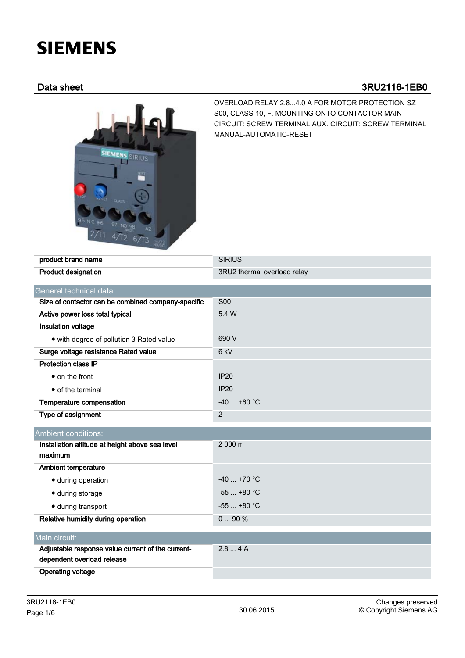# **SIEMENS**

# Data sheet 3RU2116-1EB0



OVERLOAD RELAY 2.8...4.0 A FOR MOTOR PROTECTION SZ S00, CLASS 10, F. MOUNTING ONTO CONTACTOR MAIN CIRCUIT: SCREW TERMINAL AUX. CIRCUIT: SCREW TERMINAL MANUAL-AUTOMATIC-RESET

| product brand name                                 | <b>SIRIUS</b>               |  |  |  |
|----------------------------------------------------|-----------------------------|--|--|--|
| <b>Product designation</b>                         | 3RU2 thermal overload relay |  |  |  |
| General technical data:                            |                             |  |  |  |
| Size of contactor can be combined company-specific | <b>S00</b>                  |  |  |  |
| Active power loss total typical                    | 5.4 W                       |  |  |  |
| Insulation voltage                                 |                             |  |  |  |
| • with degree of pollution 3 Rated value           | 690 V                       |  |  |  |
| Surge voltage resistance Rated value               | 6 kV                        |  |  |  |
| <b>Protection class IP</b>                         |                             |  |  |  |
| • on the front                                     | <b>IP20</b>                 |  |  |  |
| • of the terminal                                  | <b>IP20</b>                 |  |  |  |
| Temperature compensation                           | $-40$ +60 °C                |  |  |  |
| Type of assignment                                 | $\overline{2}$              |  |  |  |
| Ambient conditions:                                |                             |  |  |  |
| Installation altitude at height above sea level    | 2 000 m                     |  |  |  |
| maximum                                            |                             |  |  |  |
| <b>Ambient temperature</b>                         |                             |  |  |  |
| · during operation                                 | $-40$ +70 °C                |  |  |  |
| · during storage                                   | $-55$ $+80$ °C              |  |  |  |
| · during transport                                 | $-55$ $+80$ °C              |  |  |  |
| Relative humidity during operation                 | 090%                        |  |  |  |
| Main circuit:                                      |                             |  |  |  |
| Adjustable response value current of the current-  | 2.84A                       |  |  |  |
| dependent overload release                         |                             |  |  |  |
| <b>Operating voltage</b>                           |                             |  |  |  |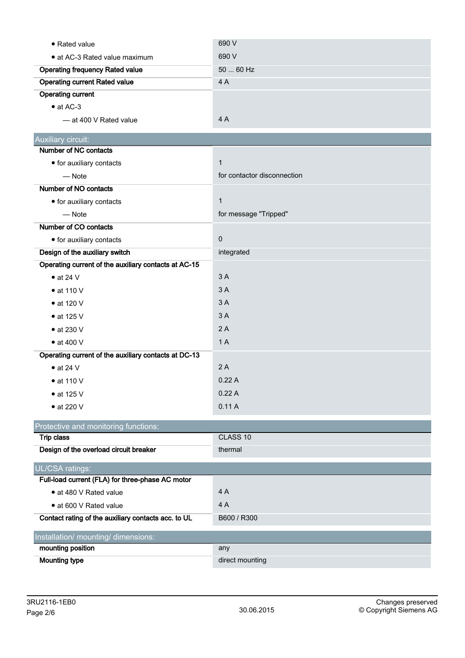| • Rated value                                        | 690 V                       |
|------------------------------------------------------|-----------------------------|
| • at AC-3 Rated value maximum                        | 690 V                       |
| <b>Operating frequency Rated value</b>               | 50  60 Hz                   |
| <b>Operating current Rated value</b>                 | 4A                          |
| <b>Operating current</b>                             |                             |
| $\bullet$ at AC-3                                    |                             |
| - at 400 V Rated value                               | 4A                          |
| Auxiliary circuit:                                   |                             |
| Number of NC contacts                                |                             |
| • for auxiliary contacts                             | $\mathbf{1}$                |
| $-$ Note                                             | for contactor disconnection |
| Number of NO contacts                                |                             |
| • for auxiliary contacts                             | $\mathbf 1$                 |
| $-$ Note                                             | for message "Tripped"       |
| Number of CO contacts                                |                             |
| • for auxiliary contacts                             | $\pmb{0}$                   |
| Design of the auxiliary switch                       | integrated                  |
| Operating current of the auxiliary contacts at AC-15 |                             |
| $\bullet$ at 24 V                                    | 3A                          |
| $\bullet$ at 110 V                                   | 3A                          |
| $\bullet$ at 120 V                                   | 3A                          |
| $\bullet$ at 125 V                                   | 3A                          |
| $\bullet$ at 230 V                                   | 2A                          |
| $\bullet$ at 400 V                                   | 1A                          |
| Operating current of the auxiliary contacts at DC-13 |                             |
| $\bullet$ at 24 V                                    | 2A                          |
| $\bullet$ at 110 V                                   | 0.22A                       |
| $\bullet$ at 125 V                                   | 0.22A                       |
| $\bullet$ at 220 V                                   | 0.11A                       |
| Protective and monitoring functions:                 |                             |
| <b>Trip class</b>                                    | CLASS 10                    |
| Design of the overload circuit breaker               | thermal                     |
| <b>UL/CSA ratings:</b>                               |                             |
| Full-load current (FLA) for three-phase AC motor     |                             |
| • at 480 V Rated value                               | 4A                          |
| • at 600 V Rated value                               | 4A                          |
| Contact rating of the auxiliary contacts acc. to UL  | B600 / R300                 |
| Installation/ mounting/ dimensions:                  |                             |
| mounting position                                    | any                         |
| <b>Mounting type</b>                                 | direct mounting             |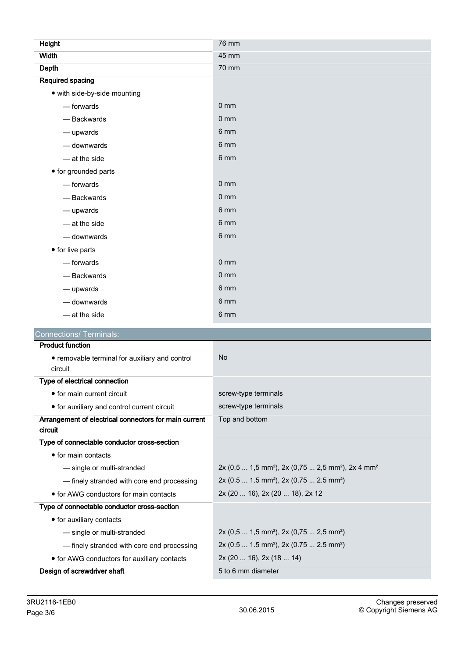| Height                                                    | 76 mm           |
|-----------------------------------------------------------|-----------------|
| <b>Width</b>                                              | 45 mm           |
| Depth                                                     | 70 mm           |
| <b>Required spacing</b>                                   |                 |
| • with side-by-side mounting                              |                 |
| - forwards                                                | 0 <sub>mm</sub> |
| - Backwards                                               | 0 <sub>mm</sub> |
| - upwards                                                 | 6 mm            |
| - downwards                                               | 6 mm            |
| - at the side                                             | 6 mm            |
| • for grounded parts                                      |                 |
| - forwards                                                | 0 <sub>mm</sub> |
| - Backwards                                               | 0 <sub>mm</sub> |
| - upwards                                                 | 6 mm            |
| $-$ at the side                                           | 6 mm            |
| - downwards                                               | 6 mm            |
| • for live parts                                          |                 |
| - forwards                                                | $0 \text{ mm}$  |
| - Backwards                                               | 0 <sub>mm</sub> |
| $-\omega$ upwards                                         | 6 mm            |
| - downwards                                               | 6 mm            |
| $-$ at the side                                           | 6 mm            |
| <b>Connections/ Terminals:</b>                            |                 |
| <b>Product function</b>                                   |                 |
| • removable terminal for auxiliary and control<br>circuit | <b>No</b>       |
| Type of electrical connection                             |                 |

| <b>I</b> ype or electrical confidential                          |                                                         |  |  |
|------------------------------------------------------------------|---------------------------------------------------------|--|--|
| • for main current circuit                                       | screw-type terminals                                    |  |  |
| • for auxiliary and control current circuit                      | screw-type terminals                                    |  |  |
| Arrangement of electrical connectors for main current<br>circuit | Top and bottom                                          |  |  |
| Type of connectable conductor cross-section                      |                                                         |  |  |
| $\bullet$ for main contacts                                      |                                                         |  |  |
| - single or multi-stranded                                       | $2x (0,5  1,5 mm2)$ , $2x (0,75  2,5 mm2)$ , $2x 4 mm2$ |  |  |
| — finely stranded with core end processing                       | $2x (0.5  1.5 mm2)$ , $2x (0.75  2.5 mm2)$              |  |  |
| • for AWG conductors for main contacts                           | 2x (20  16), 2x (20  18), 2x 12                         |  |  |
| Type of connectable conductor cross-section                      |                                                         |  |  |
| • for auxiliary contacts                                         |                                                         |  |  |
| - single or multi-stranded                                       | $2x (0,5  1,5 mm2)$ , $2x (0,75  2,5 mm2)$              |  |  |
| — finely stranded with core end processing                       | $2x (0.5  1.5 mm2)$ , $2x (0.75  2.5 mm2)$              |  |  |
| • for AWG conductors for auxiliary contacts                      | 2x(2016), 2x(1814)                                      |  |  |
| Design of screwdriver shaft                                      | 5 to 6 mm diameter                                      |  |  |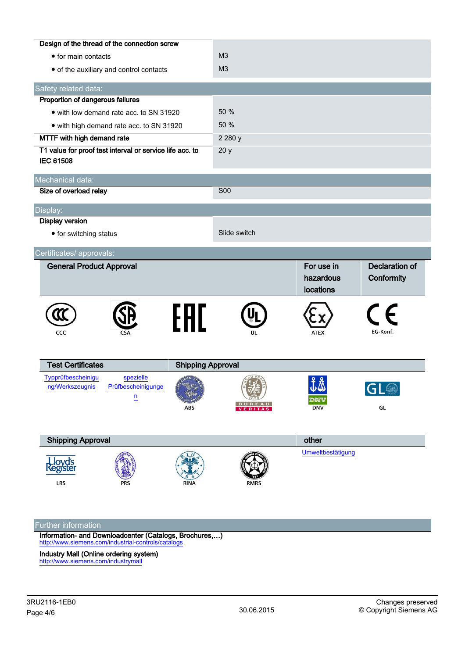|                                                                              | Design of the thread of the connection screw      |                                 |                |                                      |                              |
|------------------------------------------------------------------------------|---------------------------------------------------|---------------------------------|----------------|--------------------------------------|------------------------------|
| • for main contacts                                                          |                                                   | M <sub>3</sub>                  |                |                                      |                              |
| • of the auxiliary and control contacts                                      |                                                   | M3                              |                |                                      |                              |
| Safety related data:                                                         |                                                   |                                 |                |                                      |                              |
| Proportion of dangerous failures                                             |                                                   |                                 |                |                                      |                              |
| • with low demand rate acc. to SN 31920                                      |                                                   | 50 %                            |                |                                      |                              |
| • with high demand rate acc. to SN 31920                                     |                                                   | 50 %                            |                |                                      |                              |
| MTTF with high demand rate                                                   |                                                   | 2 2 8 0 y                       |                |                                      |                              |
| T1 value for proof test interval or service life acc. to<br><b>IEC 61508</b> |                                                   | 20y                             |                |                                      |                              |
| Mechanical data:                                                             |                                                   |                                 |                |                                      |                              |
| Size of overload relay                                                       |                                                   |                                 | <b>S00</b>     |                                      |                              |
| Display:                                                                     |                                                   |                                 |                |                                      |                              |
| <b>Display version</b>                                                       |                                                   |                                 |                |                                      |                              |
| • for switching status                                                       |                                                   |                                 | Slide switch   |                                      |                              |
| Certificates/ approvals:                                                     |                                                   |                                 |                |                                      |                              |
|                                                                              |                                                   |                                 |                |                                      |                              |
| <b>General Product Approval</b>                                              |                                                   |                                 |                | For use in<br>hazardous<br>locations | Declaration of<br>Conformity |
| CCC                                                                          |                                                   | FAL                             | UL             | ATEX                                 | F<br>EG-Konf.                |
| <b>Test Certificates</b>                                                     |                                                   |                                 |                |                                      |                              |
| Typprüfbescheinigu<br>ng/Werkszeugnis                                        | spezielle<br>Prüfbescheinigunge<br>$\overline{u}$ | <b>Shipping Approval</b><br>ABS | <b>VERITAS</b> | ĬĂ<br>dnv<br><b>DNV</b>              | $\blacksquare$<br>▁▁▂<br>GL  |
| <b>Shipping Approval</b>                                                     |                                                   |                                 |                | other                                |                              |

## Further information

Information- and Downloadcenter (Catalogs, Brochures,…) <http://www.siemens.com/industrial-controls/catalogs>

Industry Mall (Online ordering system) <http://www.siemens.com/industrymall>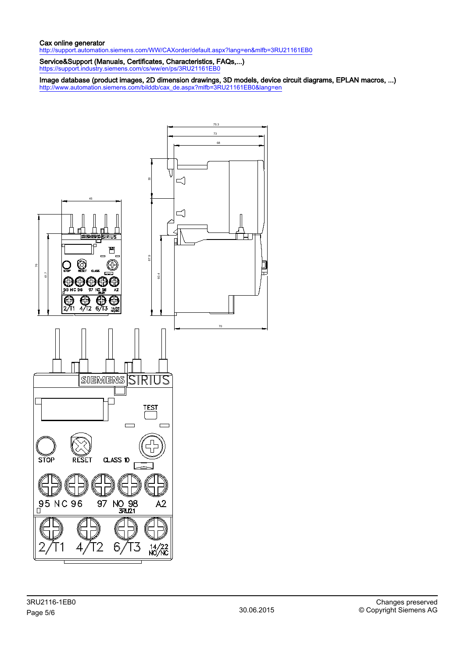### Cax online generator

<http://support.automation.siemens.com/WW/CAXorder/default.aspx?lang=en&mlfb=3RU21161EB0>

Service&Support (Manuals, Certificates, Characteristics, FAQs,...) <https://support.industry.siemens.com/cs/ww/en/ps/3RU21161EB0>

Image database (product images, 2D dimension drawings, 3D models, device circuit diagrams, EPLAN macros, ...) [http://www.automation.siemens.com/bilddb/cax\\_de.aspx?mlfb=3RU21161EB0&lang=en](http://www.automation.siemens.com/bilddb/cax_de.aspx?mlfb=3RU21161EB0&lang=en)